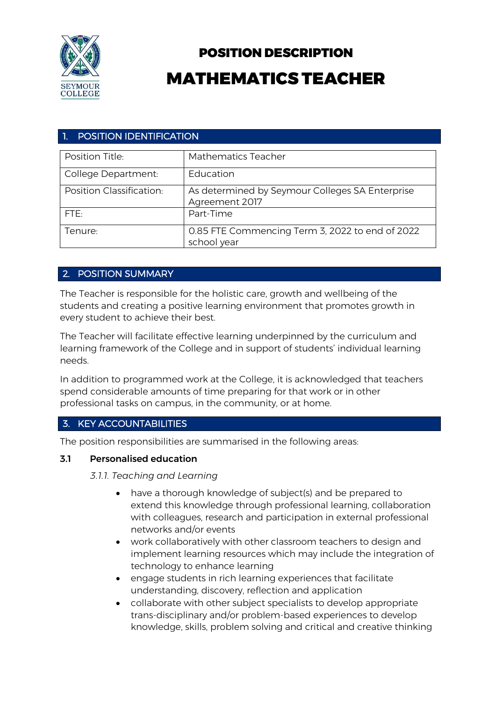

# POSITION DESCRIPTION MATHEMATICS TEACHER

## 1. POSITION IDENTIFICATION

| Position Title:          | <b>Mathematics Teacher</b>                                        |
|--------------------------|-------------------------------------------------------------------|
| College Department:      | Education                                                         |
| Position Classification: | As determined by Seymour Colleges SA Enterprise<br>Agreement 2017 |
| FTE:                     | Part-Time                                                         |
| Tenure:                  | 0.85 FTE Commencing Term 3, 2022 to end of 2022<br>school year    |

## 2. POSITION SUMMARY

The Teacher is responsible for the holistic care, growth and wellbeing of the students and creating a positive learning environment that promotes growth in every student to achieve their best.

The Teacher will facilitate effective learning underpinned by the curriculum and learning framework of the College and in support of students' individual learning needs.

In addition to programmed work at the College, it is acknowledged that teachers spend considerable amounts of time preparing for that work or in other professional tasks on campus, in the community, or at home.

## 3. KEY ACCOUNTABILITIES

The position responsibilities are summarised in the following areas:

## 3.1 Personalised education

*3.1.1. Teaching and Learning*

- have a thorough knowledge of subject(s) and be prepared to extend this knowledge through professional learning, collaboration with colleagues, research and participation in external professional networks and/or events
- work collaboratively with other classroom teachers to design and implement learning resources which may include the integration of technology to enhance learning
- engage students in rich learning experiences that facilitate understanding, discovery, reflection and application
- collaborate with other subject specialists to develop appropriate trans-disciplinary and/or problem-based experiences to develop knowledge, skills, problem solving and critical and creative thinking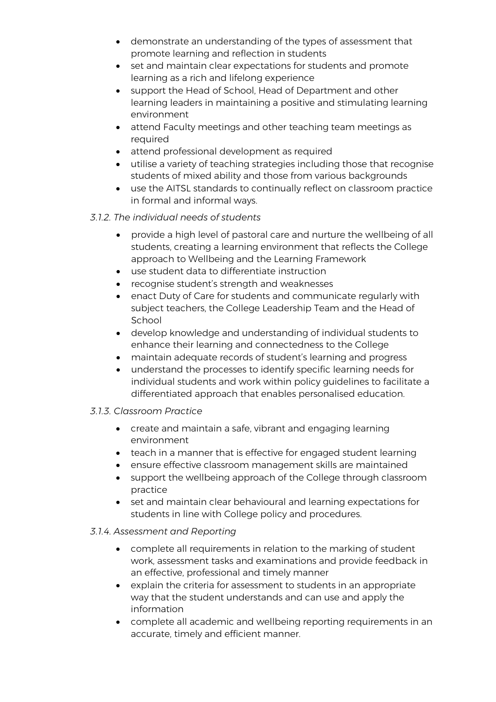- demonstrate an understanding of the types of assessment that promote learning and reflection in students
- set and maintain clear expectations for students and promote learning as a rich and lifelong experience
- support the Head of School, Head of Department and other learning leaders in maintaining a positive and stimulating learning environment
- attend Faculty meetings and other teaching team meetings as required
- attend professional development as required
- utilise a variety of teaching strategies including those that recognise students of mixed ability and those from various backgrounds
- use the AITSL standards to continually reflect on classroom practice in formal and informal ways.

## *3.1.2. The individual needs of students*

- provide a high level of pastoral care and nurture the wellbeing of all students, creating a learning environment that reflects the College approach to Wellbeing and the Learning Framework
- use student data to differentiate instruction
- recognise student's strength and weaknesses
- enact Duty of Care for students and communicate regularly with subject teachers, the College Leadership Team and the Head of School
- develop knowledge and understanding of individual students to enhance their learning and connectedness to the College
- maintain adequate records of student's learning and progress
- understand the processes to identify specific learning needs for individual students and work within policy guidelines to facilitate a differentiated approach that enables personalised education.

## *3.1.3. Classroom Practice*

- create and maintain a safe, vibrant and engaging learning environment
- teach in a manner that is effective for engaged student learning
- ensure effective classroom management skills are maintained
- support the wellbeing approach of the College through classroom practice
- set and maintain clear behavioural and learning expectations for students in line with College policy and procedures.

## *3.1.4. Assessment and Reporting*

- complete all requirements in relation to the marking of student work, assessment tasks and examinations and provide feedback in an effective, professional and timely manner
- explain the criteria for assessment to students in an appropriate way that the student understands and can use and apply the information
- complete all academic and wellbeing reporting requirements in an accurate, timely and efficient manner.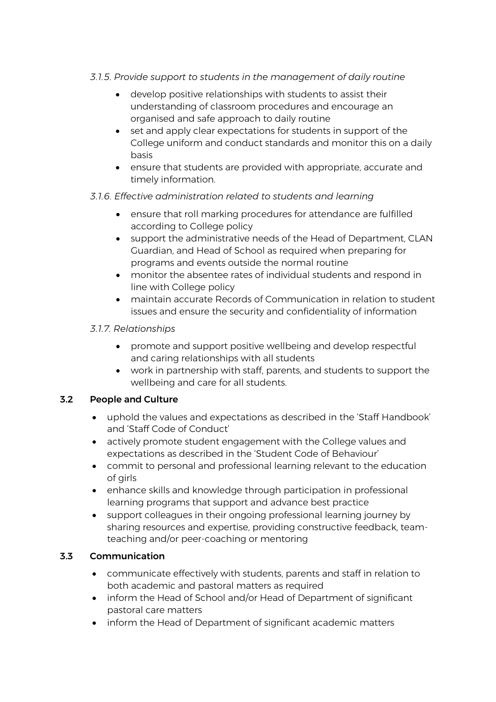#### *3.1.5. Provide support to students in the management of daily routine*

- develop positive relationships with students to assist their understanding of classroom procedures and encourage an organised and safe approach to daily routine
- set and apply clear expectations for students in support of the College uniform and conduct standards and monitor this on a daily basis
- ensure that students are provided with appropriate, accurate and timely information.

## *3.1.6. Effective administration related to students and learning*

- ensure that roll marking procedures for attendance are fulfilled according to College policy
- support the administrative needs of the Head of Department, CLAN Guardian, and Head of School as required when preparing for programs and events outside the normal routine
- monitor the absentee rates of individual students and respond in line with College policy
- maintain accurate Records of Communication in relation to student issues and ensure the security and confidentiality of information

#### *3.1.7. Relationships*

- promote and support positive wellbeing and develop respectful and caring relationships with all students
- work in partnership with staff, parents, and students to support the wellbeing and care for all students.

## 3.2 People and Culture

- uphold the values and expectations as described in the 'Staff Handbook' and 'Staff Code of Conduct'
- actively promote student engagement with the College values and expectations as described in the 'Student Code of Behaviour'
- commit to personal and professional learning relevant to the education of girls
- enhance skills and knowledge through participation in professional learning programs that support and advance best practice
- support colleagues in their ongoing professional learning journey by sharing resources and expertise, providing constructive feedback, teamteaching and/or peer-coaching or mentoring

#### 3.3 Communication

- communicate effectively with students, parents and staff in relation to both academic and pastoral matters as required
- inform the Head of School and/or Head of Department of significant pastoral care matters
- inform the Head of Department of significant academic matters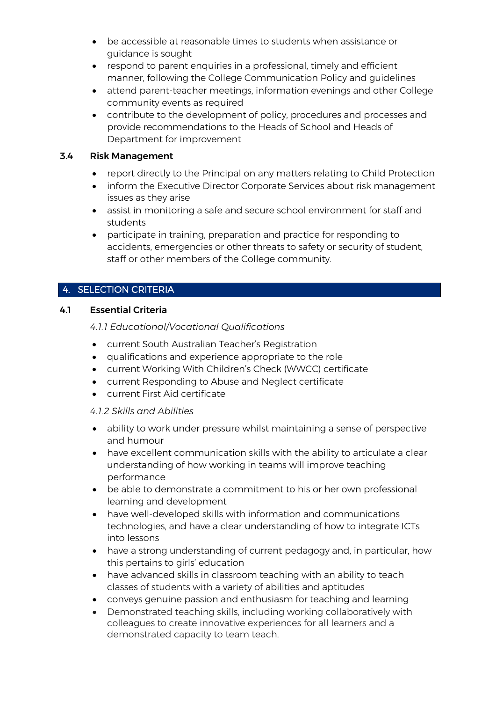- be accessible at reasonable times to students when assistance or guidance is sought
- respond to parent enquiries in a professional, timely and efficient manner, following the College Communication Policy and guidelines
- attend parent-teacher meetings, information evenings and other College community events as required
- contribute to the development of policy, procedures and processes and provide recommendations to the Heads of School and Heads of Department for improvement

#### 3.4 Risk Management

- report directly to the Principal on any matters relating to Child Protection
- inform the Executive Director Corporate Services about risk management issues as they arise
- assist in monitoring a safe and secure school environment for staff and students
- participate in training, preparation and practice for responding to accidents, emergencies or other threats to safety or security of student, staff or other members of the College community.

# 4. SELECTION CRITERIA

## 4.1 Essential Criteria

*4.1.1 Educational/Vocational Qualifications* 

- current South Australian Teacher's Registration
- qualifications and experience appropriate to the role
- current Working With Children's Check (WWCC) certificate
- current Responding to Abuse and Neglect certificate
- current First Aid certificate

#### *4.1.2 Skills and Abilities*

- ability to work under pressure whilst maintaining a sense of perspective and humour
- have excellent communication skills with the ability to articulate a clear understanding of how working in teams will improve teaching performance
- be able to demonstrate a commitment to his or her own professional learning and development
- have well-developed skills with information and communications technologies, and have a clear understanding of how to integrate ICTs into lessons
- have a strong understanding of current pedagogy and, in particular, how this pertains to girls' education
- have advanced skills in classroom teaching with an ability to teach classes of students with a variety of abilities and aptitudes
- conveys genuine passion and enthusiasm for teaching and learning
- Demonstrated teaching skills, including working collaboratively with colleagues to create innovative experiences for all learners and a demonstrated capacity to team teach.